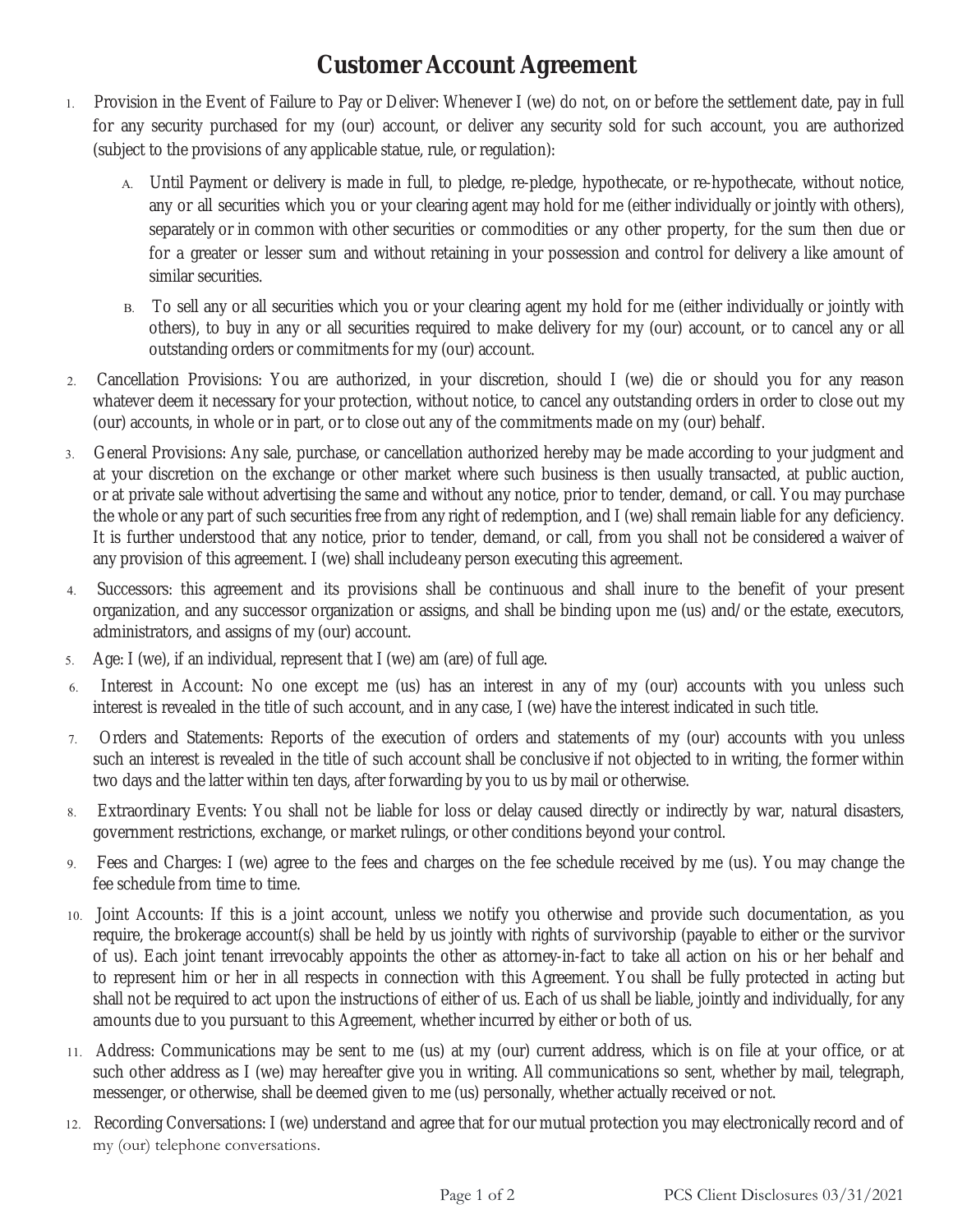## **Customer Account Agreement**

- Provision in the Event of Failure to Pay or Deliver: Whenever I (we) do not, on or before the settlement date, pay in full for any security purchased for my (our) account, or deliver any security sold for such account, you are authorized (subject to the provisions of any applicable statue, rule, or regulation):
	- A. Until Payment or delivery is made in full, to pledge, re-pledge, hypothecate, or re-hypothecate, without notice, any or all securities which you or your clearing agent may hold for me (either individually or jointly with others), separately or in common with other securities or commodities or any other property, for the sum then due or for a greater or lesser sum and without retaining in your possession and control for delivery a like amount of similar securities.
	- B. To sell any or all securities which you or your clearing agent my hold for me (either individually or jointly with others), to buy in any or all securities required to make delivery for my (our) account, or to cancel any or all outstanding orders or commitments for my (our) account.
- Cancellation Provisions: You are authorized, in your discretion, should I (we) die or should you for any reason whatever deem it necessary for your protection, without notice, to cancel any outstanding orders in order to close out my (our) accounts, in whole or in part, or to close out any of the commitments made on my (our) behalf.
- General Provisions: Any sale, purchase, or cancellation authorized hereby may be made according to your judgment and at your discretion on the exchange or other market where such business is then usually transacted, at public auction, or at private sale without advertising the same and without any notice, prior to tender, demand, or call. You may purchase the whole or any part of such securities free from any right of redemption, and I (we) shall remain liable for any deficiency. It is further understood that any notice, prior to tender, demand, or call, from you shall not be considered a waiver of any provision of this agreement. I (we) shall include any person executing this agreement.
- Successors: this agreement and its provisions shall be continuous and shall inure to the benefit of your present organization, and any successor organization or assigns, and shall be binding upon me (us) and/or the estate, executors, administrators, and assigns of my (our) account.
- Age: I (we), if an individual, represent that I (we) am (are) of full age.
- Interest in Account: No one except me (us) has an interest in any of my (our) accounts with you unless such interest is revealed in the title of such account, and in any case, I (we) have the interest indicated in such title.
- Orders and Statements: Reports of the execution of orders and statements of my (our) accounts with you unless such an interest is revealed in the title of such account shall be conclusive if not objected to in writing, the former within two days and the latter within ten days, after forwarding by you to us by mail or otherwise.
- Extraordinary Events: You shall not be liable for loss or delay caused directly or indirectly by war, natural disasters, government restrictions, exchange, or market rulings, or other conditions beyond your control.
- Fees and Charges: I (we) agree to the fees and charges on the fee schedule received by me (us). You may change the fee schedule from time to time.
- Joint Accounts: If this is a joint account, unless we notify you otherwise and provide such documentation, as you require, the brokerage account(s) shall be held by us jointly with rights of survivorship (payable to either or the survivor of us). Each joint tenant irrevocably appoints the other as attorney-in-fact to take all action on his or her behalf and to represent him or her in all respects in connection with this Agreement. You shall be fully protected in acting but shall not be required to act upon the instructions of either of us. Each of us shall be liable, jointly and individually, for any amounts due to you pursuant to this Agreement, whether incurred by either or both of us.
- Address: Communications may be sent to me (us) at my (our) current address, which is on file at your office, or at such other address as I (we) may hereafter give you in writing. All communications so sent, whether by mail, telegraph, messenger, or otherwise, shall be deemed given to me (us) personally, whether actually received or not.
- 12. Recording Conversations: I (we) understand and agree that for our mutual protection you may electronically record and of my (our) telephone conversations.